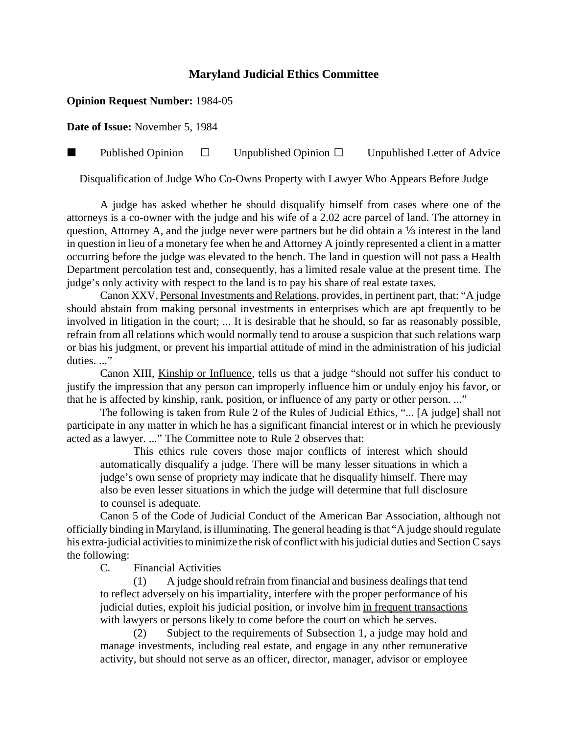## **Maryland Judicial Ethics Committee**

## **Opinion Request Number:** 1984-05

**Date of Issue:** November 5, 1984

**Published Opinion**  $\Box$  Unpublished Opinion  $\Box$  Unpublished Letter of Advice

Disqualification of Judge Who Co-Owns Property with Lawyer Who Appears Before Judge

A judge has asked whether he should disqualify himself from cases where one of the attorneys is a co-owner with the judge and his wife of a 2.02 acre parcel of land. The attorney in question, Attorney A, and the judge never were partners but he did obtain a  $\frac{1}{3}$  interest in the land in question in lieu of a monetary fee when he and Attorney A jointly represented a client in a matter occurring before the judge was elevated to the bench. The land in question will not pass a Health Department percolation test and, consequently, has a limited resale value at the present time. The judge's only activity with respect to the land is to pay his share of real estate taxes.

Canon XXV, Personal Investments and Relations, provides, in pertinent part, that: "A judge should abstain from making personal investments in enterprises which are apt frequently to be involved in litigation in the court; ... It is desirable that he should, so far as reasonably possible, refrain from all relations which would normally tend to arouse a suspicion that such relations warp or bias his judgment, or prevent his impartial attitude of mind in the administration of his judicial duties..."

Canon XIII, Kinship or Influence, tells us that a judge "should not suffer his conduct to justify the impression that any person can improperly influence him or unduly enjoy his favor, or that he is affected by kinship, rank, position, or influence of any party or other person. ..."

The following is taken from Rule 2 of the Rules of Judicial Ethics, "... [A judge] shall not participate in any matter in which he has a significant financial interest or in which he previously acted as a lawyer. ..." The Committee note to Rule 2 observes that:

This ethics rule covers those major conflicts of interest which should automatically disqualify a judge. There will be many lesser situations in which a judge's own sense of propriety may indicate that he disqualify himself. There may also be even lesser situations in which the judge will determine that full disclosure to counsel is adequate.

Canon 5 of the Code of Judicial Conduct of the American Bar Association, although not officially binding in Maryland, is illuminating. The general heading is that "A judge should regulate his extra-judicial activities to minimize the risk of conflict with his judicial duties and Section C says the following:

C. Financial Activities

(1) A judge should refrain from financial and business dealings that tend to reflect adversely on his impartiality, interfere with the proper performance of his judicial duties, exploit his judicial position, or involve him in frequent transactions with lawyers or persons likely to come before the court on which he serves.

(2) Subject to the requirements of Subsection 1, a judge may hold and manage investments, including real estate, and engage in any other remunerative activity, but should not serve as an officer, director, manager, advisor or employee